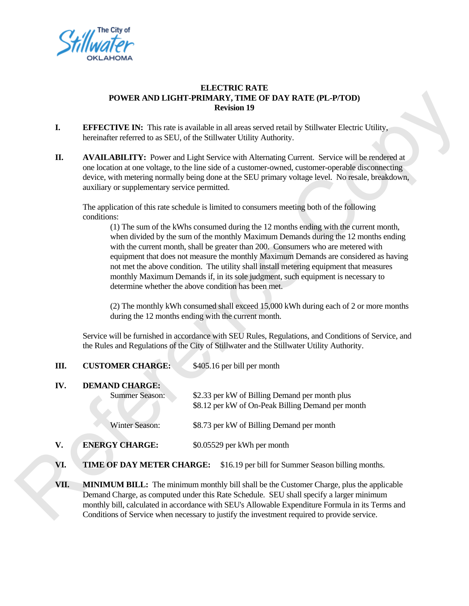

## **ELECTRIC RATE POWER AND LIGHT-PRIMARY, TIME OF DAY RATE (PL-P/TOD) Revision 19**

- **I. EFFECTIVE IN:** This rate is available in all areas served retail by Stillwater Electric Utility, hereinafter referred to as SEU, of the Stillwater Utility Authority.
- **II. AVAILABILITY:** Power and Light Service with Alternating Current. Service will be rendered at one location at one voltage, to the line side of a customer-owned, customer-operable disconnecting device, with metering normally being done at the SEU primary voltage level. No resale, breakdown, auxiliary or supplementary service permitted. TRATE (PL-P/TOD)<br>
il by Stillwater Electric Utility,<br>
y.<br>
Current. Service will be rendered at<br>
d, customer-operable disconnecting<br>
voltage level. No resale, breakdown,<br>
eeting both of the following<br>
ths ending with the cu

The application of this rate schedule is limited to consumers meeting both of the following conditions:

(1) The sum of the kWhs consumed during the 12 months ending with the current month, when divided by the sum of the monthly Maximum Demands during the 12 months ending with the current month, shall be greater than 200. Consumers who are metered with equipment that does not measure the monthly Maximum Demands are considered as having not met the above condition. The utility shall install metering equipment that measures monthly Maximum Demands if, in its sole judgment, such equipment is necessary to determine whether the above condition has been met.

(2) The monthly kWh consumed shall exceed 15,000 kWh during each of 2 or more months during the 12 months ending with the current month.

Service will be furnished in accordance with SEU Rules, Regulations, and Conditions of Service, and the Rules and Regulations of the City of Stillwater and the Stillwater Utility Authority.

|                                                                                        |                                                                                                                                                                                                                                                                                                                                                                                     | when divided by the same of the monthly trial mathematic bemands daring the 12 months $\zeta$<br>with the current month, shall be greater than 200. Consumers who are metered with<br>equipment that does not measure the monthly Maximum Demands are considered as<br>not met the above condition. The utility shall install metering equipment that measur<br>monthly Maximum Demands if, in its sole judgment, such equipment is necessary to<br>determine whether the above condition has been met.<br>(2) The monthly kWh consumed shall exceed 15,000 kWh during each of 2 or more<br>during the 12 months ending with the current month.<br>Service will be furnished in accordance with SEU Rules, Regulations, and Conditions of Serv |  |
|----------------------------------------------------------------------------------------|-------------------------------------------------------------------------------------------------------------------------------------------------------------------------------------------------------------------------------------------------------------------------------------------------------------------------------------------------------------------------------------|------------------------------------------------------------------------------------------------------------------------------------------------------------------------------------------------------------------------------------------------------------------------------------------------------------------------------------------------------------------------------------------------------------------------------------------------------------------------------------------------------------------------------------------------------------------------------------------------------------------------------------------------------------------------------------------------------------------------------------------------|--|
|                                                                                        | the Rules and Regulations of the City of Stillwater and the Stillwater Utility Authority.                                                                                                                                                                                                                                                                                           |                                                                                                                                                                                                                                                                                                                                                                                                                                                                                                                                                                                                                                                                                                                                                |  |
| Ш.                                                                                     | <b>CUSTOMER CHARGE:</b>                                                                                                                                                                                                                                                                                                                                                             | \$405.16 per bill per month                                                                                                                                                                                                                                                                                                                                                                                                                                                                                                                                                                                                                                                                                                                    |  |
| IV.                                                                                    | <b>DEMAND CHARGE:</b><br><b>Summer Season:</b>                                                                                                                                                                                                                                                                                                                                      | \$2.33 per kW of Billing Demand per month plus<br>\$8.12 per kW of On-Peak Billing Demand per month                                                                                                                                                                                                                                                                                                                                                                                                                                                                                                                                                                                                                                            |  |
|                                                                                        | Winter Season:                                                                                                                                                                                                                                                                                                                                                                      | \$8.73 per kW of Billing Demand per month                                                                                                                                                                                                                                                                                                                                                                                                                                                                                                                                                                                                                                                                                                      |  |
| V.                                                                                     | <b>ENERGY CHARGE:</b>                                                                                                                                                                                                                                                                                                                                                               | \$0.05529 per kWh per month                                                                                                                                                                                                                                                                                                                                                                                                                                                                                                                                                                                                                                                                                                                    |  |
| VI.<br>TIME OF DAY METER CHARGE:<br>\$16.19 per bill for Summer Season billing months. |                                                                                                                                                                                                                                                                                                                                                                                     |                                                                                                                                                                                                                                                                                                                                                                                                                                                                                                                                                                                                                                                                                                                                                |  |
| VII.                                                                                   | <b>MINIMUM BILL:</b> The minimum monthly bill shall be the Customer Charge, plus the appli<br>Demand Charge, as computed under this Rate Schedule. SEU shall specify a larger minimum<br>monthly bill, calculated in accordance with SEU's Allowable Expenditure Formula in its Tern<br>Conditions of Service when necessary to justify the investment required to provide service. |                                                                                                                                                                                                                                                                                                                                                                                                                                                                                                                                                                                                                                                                                                                                                |  |

**VII. MINIMUM BILL:** The minimum monthly bill shall be the Customer Charge, plus the applicable Demand Charge, as computed under this Rate Schedule. SEU shall specify a larger minimum monthly bill, calculated in accordance with SEU's Allowable Expenditure Formula in its Terms and Conditions of Service when necessary to justify the investment required to provide service.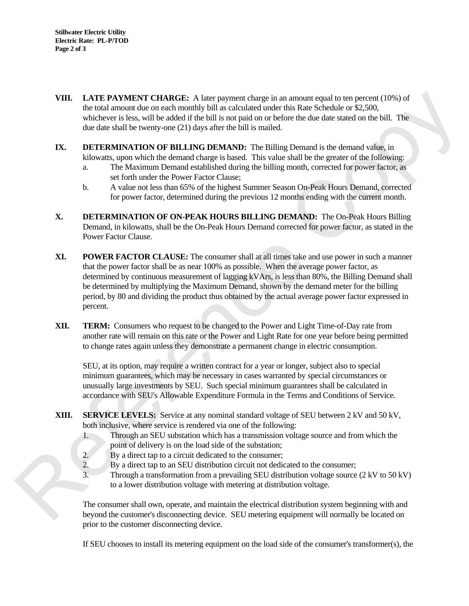- **VIII. LATE PAYMENT CHARGE:** A later payment charge in an amount equal to ten percent (10%) of the total amount due on each monthly bill as calculated under this Rate Schedule or \$2,500, whichever is less, will be added if the bill is not paid on or before the due date stated on the bill. The due date shall be twenty-one (21) days after the bill is mailed. amount equal to ten percent (10%) of<br>in SRate Schedule or \$2,500,<br>re the due date stated on the bill. The<br>Demand is the demand value, in<br>shall be the greater of the following:<br>month, corrected for power factor, as<br>on On-Pe
- **IX. DETERMINATION OF BILLING DEMAND:** The Billing Demand is the demand value, in kilowatts, upon which the demand charge is based. This value shall be the greater of the following:
	- a. The Maximum Demand established during the billing month, corrected for power factor, as set forth under the Power Factor Clause;
	- b. A value not less than 65% of the highest Summer Season On-Peak Hours Demand, corrected for power factor, determined during the previous 12 months ending with the current month.
- **X. DETERMINATION OF ON-PEAK HOURS BILLING DEMAND:** The On-Peak Hours Billing Demand, in kilowatts, shall be the On-Peak Hours Demand corrected for power factor, as stated in the Power Factor Clause.
- **XI. POWER FACTOR CLAUSE:** The consumer shall at all times take and use power in such a manner that the power factor shall be as near 100% as possible. When the average power factor, as determined by continuous measurement of lagging kVArs, is less than 80%, the Billing Demand shall be determined by multiplying the Maximum Demand, shown by the demand meter for the billing period, by 80 and dividing the product thus obtained by the actual average power factor expressed in percent. **XI. POWER EXECT THE CONSTIGE:** The consumer shall at all times take and that the power factor shall be as near 100% as possible. When the average determined by continuous measurement of lagging kVArs, is less than 80%
	- **XII. TERM:** Consumers who request to be changed to the Power and Light Time-of-Day rate from another rate will remain on this rate or the Power and Light Rate for one year before being permitted to change rates again unless they demonstrate a permanent change in electric consumption.

 SEU, at its option, may require a written contract for a year or longer, subject also to special minimum guarantees, which may be necessary in cases warranted by special circumstances or unusually large investments by SEU. Such special minimum guarantees shall be calculated in accordance with SEU's Allowable Expenditure Formula in the Terms and Conditions of Service.

- **XIII. SERVICE LEVELS:** Service at any nominal standard voltage of SEU between 2 kV and 50 kV, both inclusive, where service is rendered via one of the following:
	- 1. Through an SEU substation which has a transmission voltage source and from which the point of delivery is on the load side of the substation;
	- 2. By a direct tap to a circuit dedicated to the consumer;
	- 2. By a direct tap to an SEU distribution circuit not dedicated to the consumer;
	- 3. Through a transformation from a prevailing SEU distribution voltage source (2 kV to 50 kV) to a lower distribution voltage with metering at distribution voltage.

 The consumer shall own, operate, and maintain the electrical distribution system beginning with and beyond the customer's disconnecting device. SEU metering equipment will normally be located on prior to the customer disconnecting device.

If SEU chooses to install its metering equipment on the load side of the consumer's transformer(s), the